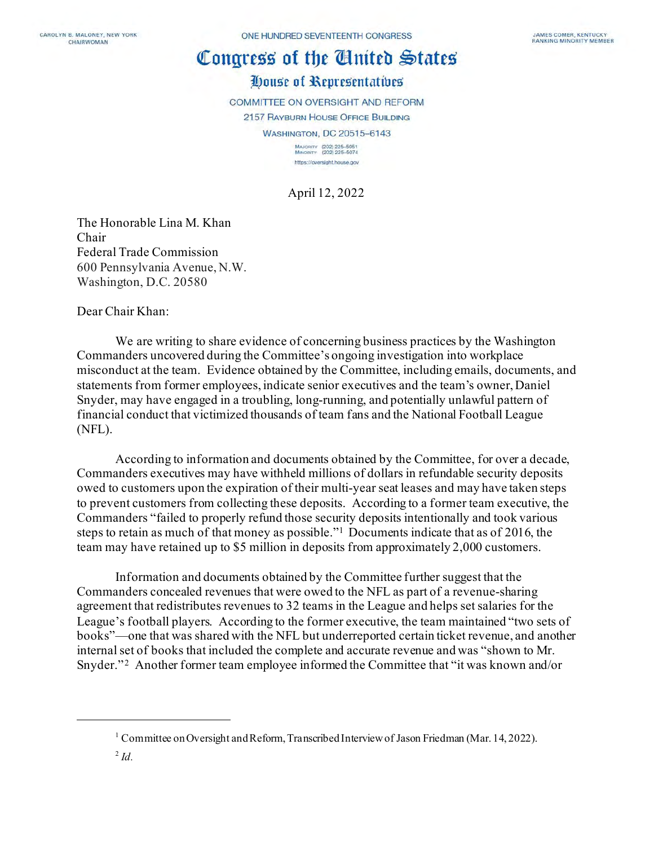# House of Representatives

COMMITTEE ON OVERSIGHT AND REFORM

2157 RAYBURN HOUSE OFFICE BUILDING

**WASHINGTON, DC 20515-6143** 

MAJORITY (202) 225-5051<br>MINORITY (202) 225-5074 https://oversight.house.gov

April 12, 2022

The Honorable Lina M. Khan Chair Federal Trade Commission 600 Pennsylvania Avenue, N.W. Washington, D.C. 20580

Dear Chair Khan:

We are writing to share evidence of concerning business practices by the Washington Commanders uncovered during the Committee's ongoing investigation into workplace misconduct at the team. Evidence obtained by the Committee, including emails, documents, and statements from former employees, indicate senior executives and the team's owner, Daniel Snyder, may have engaged in a troubling, long-running, and potentially unlawful pattern of financial conduct that victimized thousands of team fans and the National Football League (NFL).

According to information and documents obtained by the Committee, for over a decade, Commanders executives may have withheld millions of dollars in refundable security deposits owed to customers upon the expiration of their multi-year seat leases and may have taken steps to prevent customers from collecting these deposits. According to a former team executive, the Commanders "failed to properly refund those security deposits intentionally and took various steps to retain as much of that money as possible."[1](#page-0-0) Documents indicate that as of 2016, the team may have retained up to \$5 million in deposits from approximately 2,000 customers.

Information and documents obtained by the Committee further suggest that the Commanders concealed revenues that were owed to the NFL as part of a revenue-sharing agreement that redistributes revenues to 32 teams in the League and helps set salaries for the League's football players. According to the former executive, the team maintained "two sets of books"—one that was shared with the NFL but underreported certain ticket revenue, and another internal set of books that included the complete and accurate revenue and was "shown to Mr. Snyder."<sup>2</sup> Another former team employee informed the Committee that "it was known and/or

<span id="page-0-0"></span><sup>&</sup>lt;sup>1</sup> Committee on Oversight and Reform, Transcribed Interview of Jason Friedman (Mar. 14, 2022).

<span id="page-0-1"></span><sup>2</sup> *Id.*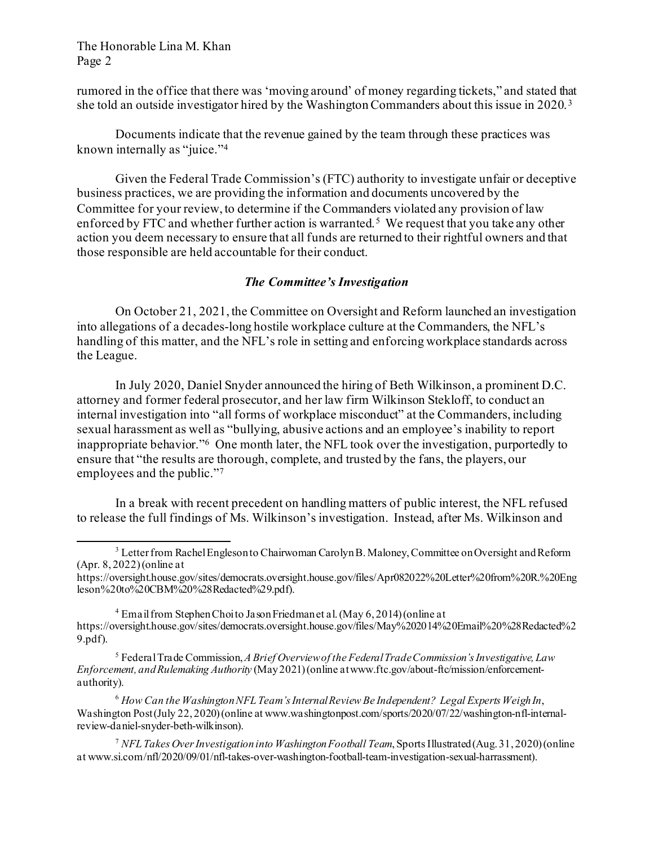rumored in the office that there was 'moving around' of money regarding tickets," and stated that she told an outside investigator hired by the Washington Commanders about this issue in 2020. [3](#page-1-0)

Documents indicate that the revenue gained by the team through these practices was known internally as "juice."[4](#page-1-1) 

Given the Federal Trade Commission's (FTC) authority to investigate unfair or deceptive business practices, we are providing the information and documents uncovered by the Committee for your review, to determine if the Commanders violated any provision of law enforced by FTC and whether further action is warranted.<sup>[5](#page-1-2)</sup> We request that you take any other action you deem necessary to ensure that all funds are returned to their rightful owners and that those responsible are held accountable for their conduct.

# *The Committee's Investigation*

On October 21, 2021, the Committee on Oversight and Reform launched an investigation into allegations of a decades-long hostile workplace culture at the Commanders, the NFL's handling of this matter, and the NFL's role in setting and enforcing workplace standards across the League.

In July 2020, Daniel Snyder announced the hiring of Beth Wilkinson, a prominent D.C. attorney and former federal prosecutor, and her law firm Wilkinson Stekloff, to conduct an internal investigation into "all forms of workplace misconduct" at the Commanders, including sexual harassment as well as "bullying, abusive actions and an employee's inability to report inappropriate behavior."[6](#page-1-3) One month later, the NFL took over the investigation, purportedly to ensure that "the results are thorough, complete, and trusted by the fans, the players, our employees and the public."<sup>7</sup>

In a break with recent precedent on handling matters of public interest, the NFL refused to release the full findings of Ms. Wilkinson's investigation. Instead, after Ms. Wilkinson and

https://oversight.house.gov/sites/democrats.oversight.house.gov/files/Apr082022%20Letter%20from%20R.%20Eng leson%20to%20CBM%20%28Redacted%29.pdf).

<span id="page-1-1"></span><sup>4</sup> Email from Stephen Choi to Jason Friedman et al. (May 6, 2014) (online at https://oversight.house.gov/sites/democrats.oversight.house.gov/files/May%202014%20Email%20%28Redacted%2 9.pdf).

<span id="page-1-2"></span><sup>5</sup> Federal Trade Commission, *A Brief Overview of the Federal Trade Commission's Investigative, Law Enforcement, and Rulemaking Authority* (May 2021) (online at www.ftc.gov/about-ftc/mission/enforcementauthority).

<span id="page-1-3"></span><sup>6</sup> *How Can the Washington NFL Team's Internal Review Be Independent? Legal Experts Weigh In*, Washington Post (July 22, 2020) (online at www.washingtonpost.com/sports/2020/07/22/washington-nfl-internalreview-daniel-snyder-beth-wilkinson).

<span id="page-1-4"></span><sup>7</sup> *NFL Takes Over Investigation into Washington Football Team*, Sports Illustrated (Aug. 31, 2020) (online at www.si.com/nfl/2020/09/01/nfl-takes-over-washington-football-team-investigation-sexual-harrassment).

<span id="page-1-0"></span><sup>&</sup>lt;sup>3</sup> Letter from Rachel Engleson to Chairwoman Carolyn B. Maloney, Committee on Oversight and Reform (Apr. 8, 2022) (online at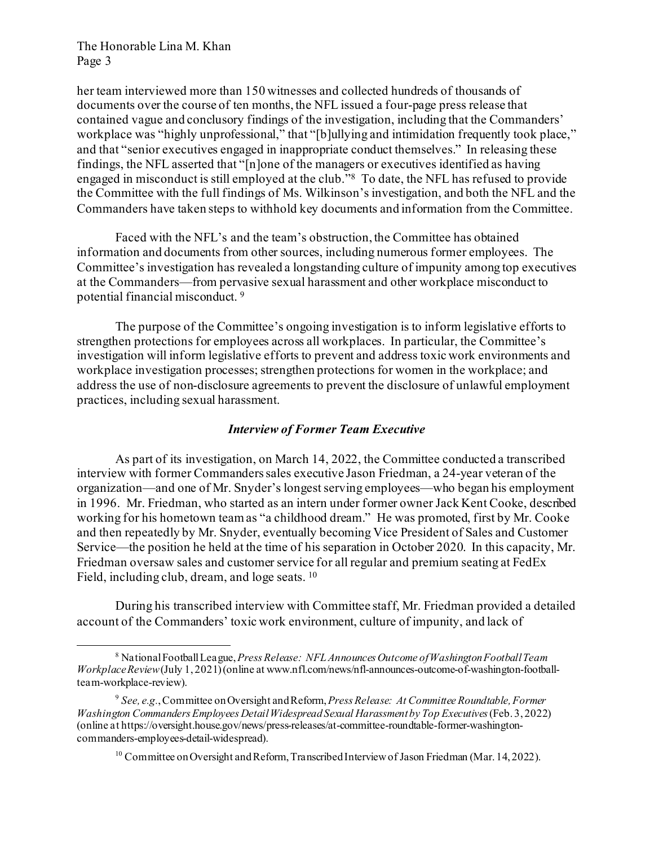her team interviewed more than 150 witnesses and collected hundreds of thousands of documents over the course of ten months, the NFL issued a four-page press release that contained vague and conclusory findings of the investigation, including that the Commanders' workplace was "highly unprofessional," that "[b]ullying and intimidation frequently took place," and that "senior executives engaged in inappropriate conduct themselves." In releasing these findings, the NFL asserted that "[n]one of the managers or executives identified as having engaged in misconduct is still employed at the club."[8](#page-2-0) To date, the NFL has refused to provide the Committee with the full findings of Ms. Wilkinson's investigation, and both the NFL and the Commanders have taken steps to withhold key documents and information from the Committee.

Faced with the NFL's and the team's obstruction, the Committee has obtained information and documents from other sources, including numerous former employees. The Committee's investigation has revealed a longstanding culture of impunity among top executives at the Commanders—from pervasive sexual harassment and other workplace misconduct to potential financial misconduct. [9](#page-2-1)

The purpose of the Committee's ongoing investigation is to inform legislative efforts to strengthen protections for employees across all workplaces. In particular, the Committee's investigation will inform legislative efforts to prevent and address toxic work environments and workplace investigation processes; strengthen protections for women in the workplace; and address the use of non-disclosure agreements to prevent the disclosure of unlawful employment practices, including sexual harassment.

# *Interview of Former Team Executive*

As part of its investigation, on March 14, 2022, the Committee conducted a transcribed interview with former Commanders sales executive Jason Friedman, a 24-year veteran of the organization—and one of Mr. Snyder's longest serving employees—who began his employment in 1996. Mr. Friedman, who started as an intern under former owner Jack Kent Cooke, described working for his hometown team as "a childhood dream." He was promoted, first by Mr. Cooke and then repeatedly by Mr. Snyder, eventually becoming Vice President of Sales and Customer Service—the position he held at the time of his separation in October 2020. In this capacity, Mr. Friedman oversaw sales and customer service for all regular and premium seating at FedEx Field, including club, dream, and loge seats. [10](#page-2-2) 

During his transcribed interview with Committee staff, Mr. Friedman provided a detailed account of the Commanders' toxic work environment, culture of impunity, and lack of

<span id="page-2-0"></span><sup>8</sup> National Football League, *Press Release: NFL Announces Outcome of Washington Football Team Workplace Review*(July 1, 2021) (online at www.nfl.com/news/nfl-announces-outcome-of-washington-footballteam-workplace-review).

<span id="page-2-2"></span><span id="page-2-1"></span><sup>9</sup> *See, e.g.*, Committee on Oversight and Reform, *Press Release: At Committee Roundtable, Former Washington Commanders Employees Detail Widespread Sexual Harassment by Top Executives*(Feb. 3, 2022) (online at https://oversight.house.gov/news/press-releases/at-committee-roundtable-former-washingtoncommanders-employees-detail-widespread).

 $^{10}$  Committee on Oversight and Reform, Transcribed Interview of Jason Friedman (Mar. 14, 2022).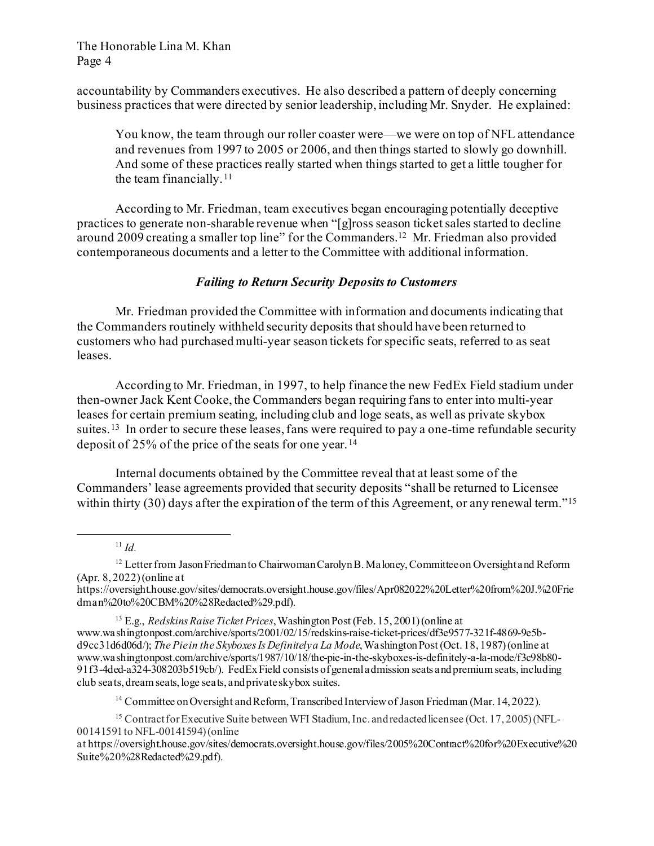accountability by Commanders executives. He also described a pattern of deeply concerning business practices that were directed by senior leadership, including Mr. Snyder. He explained:

You know, the team through our roller coaster were—we were on top of NFL attendance and revenues from 1997 to 2005 or 2006, and then things started to slowly go downhill. And some of these practices really started when things started to get a little tougher for the team financially.<sup>[11](#page-3-0)</sup>

According to Mr. Friedman, team executives began encouraging potentially deceptive practices to generate non-sharable revenue when "[g]ross season ticket sales started to decline around 2009 creating a smaller top line" for the Commanders.[12](#page-3-1) Mr. Friedman also provided contemporaneous documents and a letter to the Committee with additional information.

# *Failing to Return Security Deposits to Customers*

Mr. Friedman provided the Committee with information and documents indicating that the Commanders routinely withheld security deposits that should have been returned to customers who had purchased multi-year season tickets for specific seats, referred to as seat leases.

According to Mr. Friedman, in 1997, to help finance the new FedEx Field stadium under then-owner Jack Kent Cooke, the Commanders began requiring fans to enter into multi-year leases for certain premium seating, including club and loge seats, as well as private skybox suites.<sup>[13](#page-3-2)</sup> In order to secure these leases, fans were required to pay a one-time refundable security deposit of 25% of the price of the seats for one year.<sup>[14](#page-3-3)</sup>

Internal documents obtained by the Committee reveal that at least some of the Commanders' lease agreements provided that security deposits "shall be returned to Licensee within thirty (30) days after the expiration of the term of this Agreement, or any renewal term."<sup>[15](#page-3-4)</sup>

<sup>11</sup> *Id.*

<sup>14</sup> Committee on Oversight and Reform, Transcribed Interview of Jason Friedman (Mar. 14, 2022).

<span id="page-3-1"></span><span id="page-3-0"></span><sup>&</sup>lt;sup>12</sup> Letter from Jason Friedman to Chairwoman Carolyn B. Maloney, Committee on Oversight and Reform (Apr. 8, 2022)(online at

https://oversight.house.gov/sites/democrats.oversight.house.gov/files/Apr082022%20Letter%20from%20J.%20Frie dman%20to%20CBM%20%28Redacted%29.pdf).

<span id="page-3-2"></span><sup>13</sup> E.g., *Redskins Raise Ticket Prices*, Washington Post (Feb. 15, 2001) (online at www.washingtonpost.com/archive/sports/2001/02/15/redskins-raise-ticket-prices/df3e9577-321f-4869-9e5bd9cc31d6d06d/); *The Pie in the Skyboxes Is Definitely a La Mode*, Washington Post (Oct. 18, 1987) (online at www.washingtonpost.com/archive/sports/1987/10/18/the-pie-in-the-skyboxes-is-definitely-a-la-mode/f3c98b80- 91f3-4ded-a324-308203b519cb/). FedEx Field consists of general admission seats and premium seats, including club seats, dream seats, loge seats, and private skybox suites.

<span id="page-3-4"></span><span id="page-3-3"></span><sup>&</sup>lt;sup>15</sup> Contract for Executive Suite between WFI Stadium, Inc. and redacted licensee (Oct. 17, 2005) (NFL-00141591 to NFL-00141594) (online

at https://oversight.house.gov/sites/democrats.oversight.house.gov/files/2005%20Contract%20for%20Executive%20 Suite%20%28Redacted%29.pdf).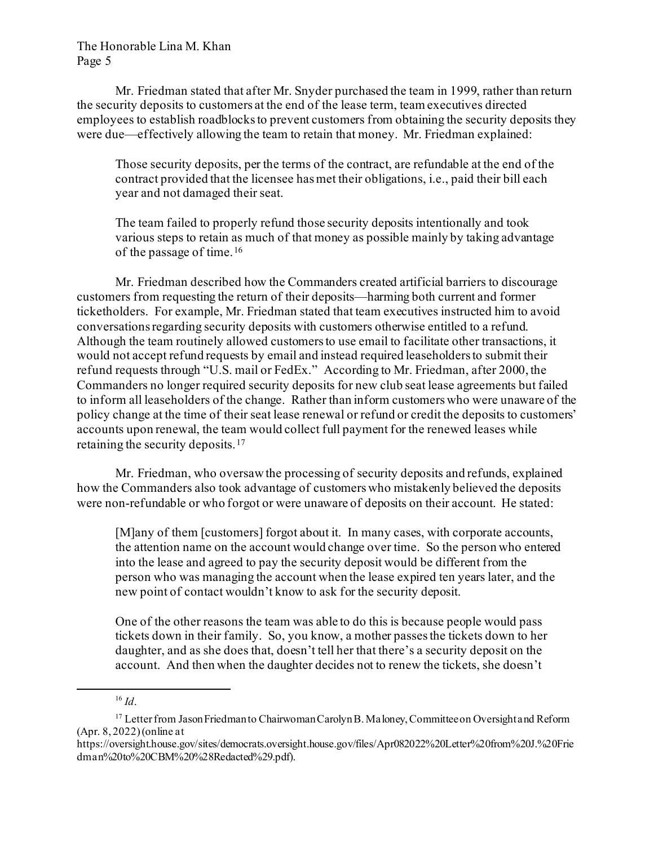Mr. Friedman stated that after Mr. Snyder purchased the team in 1999, rather than return the security deposits to customers at the end of the lease term, team executives directed employees to establish roadblocks to prevent customers from obtaining the security deposits they were due—effectively allowing the team to retain that money. Mr. Friedman explained:

Those security deposits, per the terms of the contract, are refundable at the end of the contract provided that the licensee has met their obligations, i.e., paid their bill each year and not damaged their seat.

The team failed to properly refund those security deposits intentionally and took various steps to retain as much of that money as possible mainly by taking advantage of the passage of time.<sup>[16](#page-4-0)</sup>

Mr. Friedman described how the Commanders created artificial barriers to discourage customers from requesting the return of their deposits—harming both current and former ticketholders. For example, Mr. Friedman stated that team executives instructed him to avoid conversations regarding security deposits with customers otherwise entitled to a refund. Although the team routinely allowed customers to use email to facilitate other transactions, it would not accept refund requests by email and instead required leaseholders to submit their refund requests through "U.S. mail or FedEx." According to Mr. Friedman, after 2000, the Commanders no longer required security deposits for new club seat lease agreements but failed to inform all leaseholders of the change. Rather than inform customers who were unaware of the policy change at the time of their seat lease renewal or refund or credit the deposits to customers' accounts upon renewal, the team would collect full payment for the renewed leases while retaining the security deposits.[17](#page-4-1) 

Mr. Friedman, who oversaw the processing of security deposits and refunds, explained how the Commanders also took advantage of customers who mistakenly believed the deposits were non-refundable or who forgot or were unaware of deposits on their account. He stated:

[M]any of them [customers] forgot about it. In many cases, with corporate accounts, the attention name on the account would change over time. So the person who entered into the lease and agreed to pay the security deposit would be different from the person who was managing the account when the lease expired ten years later, and the new point of contact wouldn't know to ask for the security deposit.

One of the other reasons the team was able to do this is because people would pass tickets down in their family. So, you know, a mother passes the tickets down to her daughter, and as she does that, doesn't tell her that there's a security deposit on the account. And then when the daughter decides not to renew the tickets, she doesn't

 $16$  *Id.* 

<span id="page-4-1"></span><span id="page-4-0"></span><sup>&</sup>lt;sup>17</sup> Letter from Jason Friedman to Chairwoman Carolyn B. Maloney, Committee on Oversight and Reform (Apr. 8, 2022) (online at

https://oversight.house.gov/sites/democrats.oversight.house.gov/files/Apr082022%20Letter%20from%20J.%20Frie dman%20to%20CBM%20%28Redacted%29.pdf).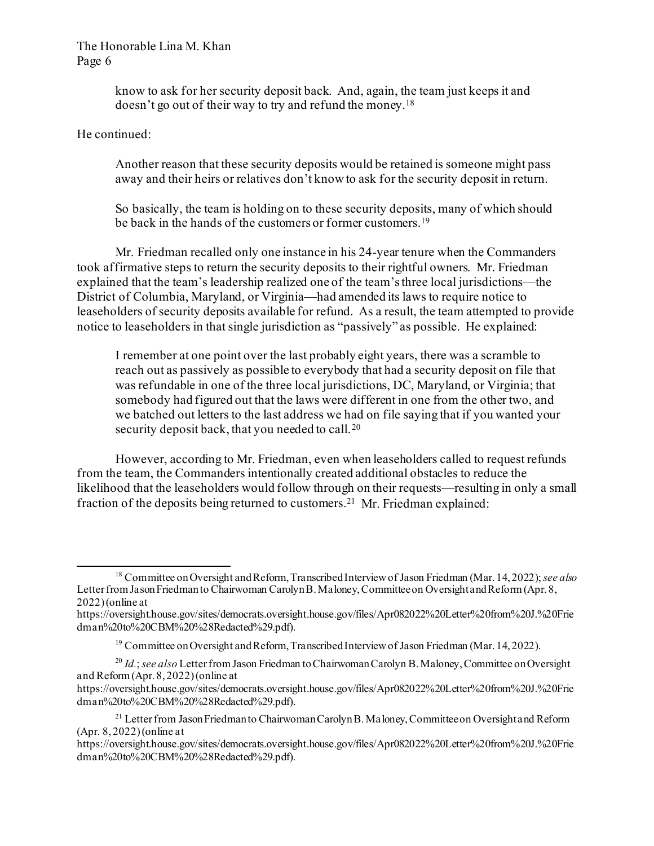know to ask for her security deposit back. And, again, the team just keeps it and doesn't go out of their way to try and refund the money.[18](#page-5-0)

He continued:

Another reason that these security deposits would be retained is someone might pass away and their heirs or relatives don't know to ask for the security deposit in return.

So basically, the team is holding on to these security deposits, many of which should be back in the hands of the customers or former customers.<sup>19</sup>

Mr. Friedman recalled only one instance in his 24-year tenure when the Commanders took affirmative steps to return the security deposits to their rightful owners. Mr. Friedman explained that the team's leadership realized one of the team's three local jurisdictions—the District of Columbia, Maryland, or Virginia—had amended its laws to require notice to leaseholders of security deposits available for refund. As a result, the team attempted to provide notice to leaseholders in that single jurisdiction as "passively" as possible. He explained:

I remember at one point over the last probably eight years, there was a scramble to reach out as passively as possible to everybody that had a security deposit on file that was refundable in one of the three local jurisdictions, DC, Maryland, or Virginia; that somebody had figured out that the laws were different in one from the other two, and we batched out letters to the last address we had on file saying that if you wanted your security deposit back, that you needed to call.<sup>[20](#page-5-2)</sup>

However, according to Mr. Friedman, even when leaseholders called to request refunds from the team, the Commanders intentionally created additional obstacles to reduce the likelihood that the leaseholders would follow through on their requests—resulting in only a small fraction of the deposits being returned to customers.[21](#page-5-3) Mr. Friedman explained:

<span id="page-5-0"></span><sup>18</sup> Committee on Oversight and Reform, Transcribed Interview of Jason Friedman (Mar. 14, 2022); *see also*  Letter from Jason Friedmanto Chairwoman Carolyn B. Maloney, Committee on Oversight and Reform (Apr. 8, 2022) (online at

https://oversight.house.gov/sites/democrats.oversight.house.gov/files/Apr082022%20Letter%20from%20J.%20Frie dman%20to%20CBM%20%28Redacted%29.pdf).

<sup>&</sup>lt;sup>19</sup> Committee on Oversight and Reform, Transcribed Interview of Jason Friedman (Mar. 14, 2022).

<span id="page-5-2"></span><span id="page-5-1"></span><sup>20</sup> *Id.*; *see also* Letter from Jason Friedman to Chairwoman Carolyn B. Maloney, Committee on Oversight and Reform (Apr. 8, 2022) (online at

https://oversight.house.gov/sites/democrats.oversight.house.gov/files/Apr082022%20Letter%20from%20J.%20Frie dman%20to%20CBM%20%28Redacted%29.pdf).

<span id="page-5-3"></span><sup>&</sup>lt;sup>21</sup> Letter from Jason Friedman to Chairwoman Carolyn B. Maloney, Committee on Oversight and Reform (Apr. 8, 2022) (online at

https://oversight.house.gov/sites/democrats.oversight.house.gov/files/Apr082022%20Letter%20from%20J.%20Frie dman%20to%20CBM%20%28Redacted%29.pdf).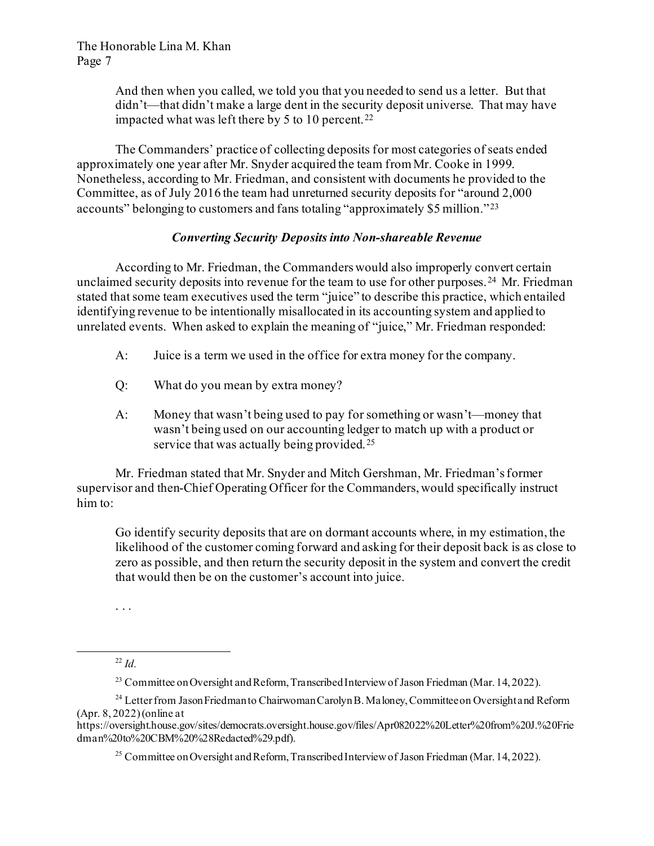And then when you called, we told you that you needed to send us a letter. But that didn't—that didn't make a large dent in the security deposit universe. That may have impacted what was left there by 5 to 10 percent. [22](#page-6-0)

The Commanders' practice of collecting deposits for most categories of seats ended approximately one year after Mr. Snyder acquired the team from Mr. Cooke in 1999. Nonetheless, according to Mr. Friedman, and consistent with documents he provided to the Committee, as of July 2016 the team had unreturned security deposits for "around 2,000 accounts" belonging to customers and fans totaling "approximately \$5 million." [23](#page-6-1)

# *Converting Security Deposits into Non-shareable Revenue*

According to Mr. Friedman, the Commanders would also improperly convert certain unclaimed security deposits into revenue for the team to use for other purposes.<sup>24</sup> Mr. Friedman stated that some team executives used the term "juice" to describe this practice, which entailed identifying revenue to be intentionally misallocated in its accounting system and applied to unrelated events. When asked to explain the meaning of "juice," Mr. Friedman responded:

- A: Juice is a term we used in the office for extra money for the company.
- Q: What do you mean by extra money?
- A: Money that wasn't being used to pay for something or wasn't—money that wasn't being used on our accounting ledger to match up with a product or service that was actually being provided.<sup>[25](#page-6-3)</sup>

Mr. Friedman stated that Mr. Snyder and Mitch Gershman, Mr. Friedman's former supervisor and then-Chief Operating Officer for the Commanders, would specifically instruct him to:

Go identify security deposits that are on dormant accounts where, in my estimation, the likelihood of the customer coming forward and asking for their deposit back is as close to zero as possible, and then return the security deposit in the system and convert the credit that would then be on the customer's account into juice.

. . .

 $^{22}$  *Id.* 

<sup>&</sup>lt;sup>23</sup> Committee on Oversight and Reform, Transcribed Interview of Jason Friedman (Mar. 14, 2022).

<span id="page-6-2"></span><span id="page-6-1"></span><span id="page-6-0"></span><sup>&</sup>lt;sup>24</sup> Letter from Jason Friedman to Chairwoman Carolyn B. Maloney, Committee on Oversight and Reform (Apr. 8, 2022) (online at

<span id="page-6-3"></span>https://oversight.house.gov/sites/democrats.oversight.house.gov/files/Apr082022%20Letter%20from%20J.%20Frie dman%20to%20CBM%20%28Redacted%29.pdf).

<sup>&</sup>lt;sup>25</sup> Committee on Oversight and Reform, Transcribed Interview of Jason Friedman (Mar. 14, 2022).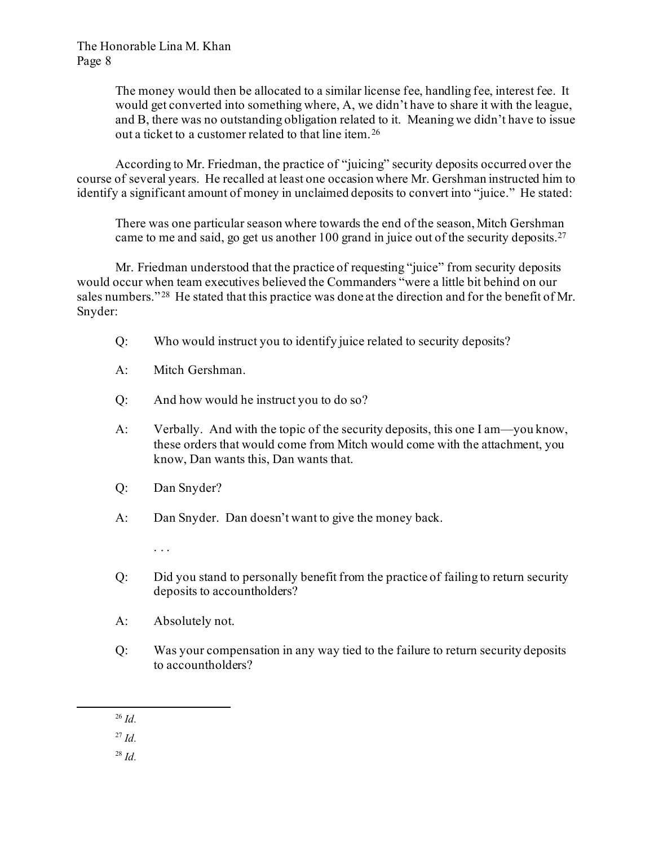The money would then be allocated to a similar license fee, handling fee, interest fee. It would get converted into something where, A, we didn't have to share it with the league, and B, there was no outstanding obligation related to it. Meaning we didn't have to issue out a ticket to a customer related to that line item.[26](#page-7-0)

According to Mr. Friedman, the practice of "juicing" security deposits occurred over the course of several years. He recalled at least one occasion where Mr. Gershman instructed him to identify a significant amount of money in unclaimed deposits to convert into "juice." He stated:

There was one particular season where towards the end of the season, Mitch Gershman came to me and said, go get us another 100 grand in juice out of the security deposits.<sup>27</sup>

Mr. Friedman understood that the practice of requesting "juice" from security deposits would occur when team executives believed the Commanders "were a little bit behind on our sales numbers."<sup>[28](#page-7-2)</sup> He stated that this practice was done at the direction and for the benefit of Mr. Snyder:

- Q: Who would instruct you to identify juice related to security deposits?
- A: Mitch Gershman.
- Q: And how would he instruct you to do so?
- A: Verbally. And with the topic of the security deposits, this one I am—you know, these orders that would come from Mitch would come with the attachment, you know, Dan wants this, Dan wants that.
- Q: Dan Snyder?
- A: Dan Snyder. Dan doesn't want to give the money back.

. . .

- Q: Did you stand to personally benefit from the practice of failing to return security deposits to accountholders?
- A: Absolutely not.
- Q: Was your compensation in any way tied to the failure to return security deposits to accountholders?
- <sup>26</sup> *Id.*

<span id="page-7-2"></span><span id="page-7-1"></span><span id="page-7-0"></span><sup>27</sup> *Id.*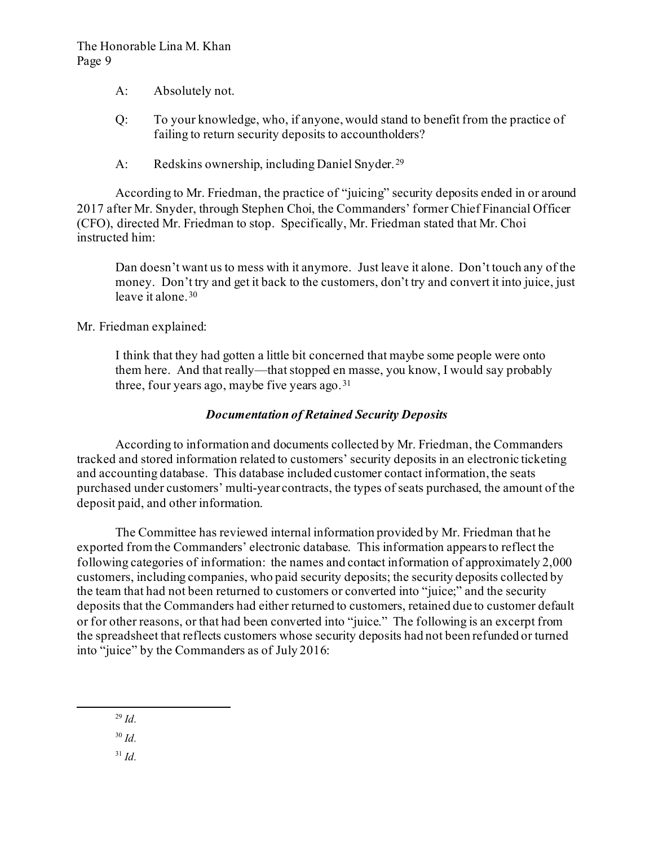- A: Absolutely not.
- Q: To your knowledge, who, if anyone, would stand to benefit from the practice of failing to return security deposits to accountholders?
- A: Redskins ownership, including Daniel Snyder.<sup>[29](#page-8-0)</sup>

According to Mr. Friedman, the practice of "juicing" security deposits ended in or around 2017 after Mr. Snyder, through Stephen Choi, the Commanders' former Chief Financial Officer (CFO), directed Mr. Friedman to stop. Specifically, Mr. Friedman stated that Mr. Choi instructed him:

Dan doesn't want us to mess with it anymore. Just leave it alone. Don't touch any of the money. Don't try and get it back to the customers, don't try and convert it into juice, just leave it alone.[30](#page-8-1)

Mr. Friedman explained:

I think that they had gotten a little bit concerned that maybe some people were onto them here. And that really—that stopped en masse, you know, I would say probably three, four years ago, may be five years ago.  $31$ 

# *Documentation of Retained Security Deposits*

According to information and documents collected by Mr. Friedman, the Commanders tracked and stored information related to customers' security deposits in an electronic ticketing and accounting database. This database included customer contact information, the seats purchased under customers' multi-year contracts, the types of seats purchased, the amount of the deposit paid, and other information.

The Committee has reviewed internal information provided by Mr. Friedman that he exported from the Commanders' electronic database. This information appears to reflect the following categories of information: the names and contact information of approximately 2,000 customers, including companies, who paid security deposits; the security deposits collected by the team that had not been returned to customers or converted into "juice;" and the security deposits that the Commanders had either returned to customers, retained due to customer default or for other reasons, or that had been converted into "juice." The following is an excerpt from the spreadsheet that reflects customers whose security deposits had not been refunded or turned into "juice" by the Commanders as of July 2016:

<span id="page-8-2"></span><span id="page-8-1"></span><span id="page-8-0"></span><sup>30</sup> *Id.*

<sup>29</sup> *Id.*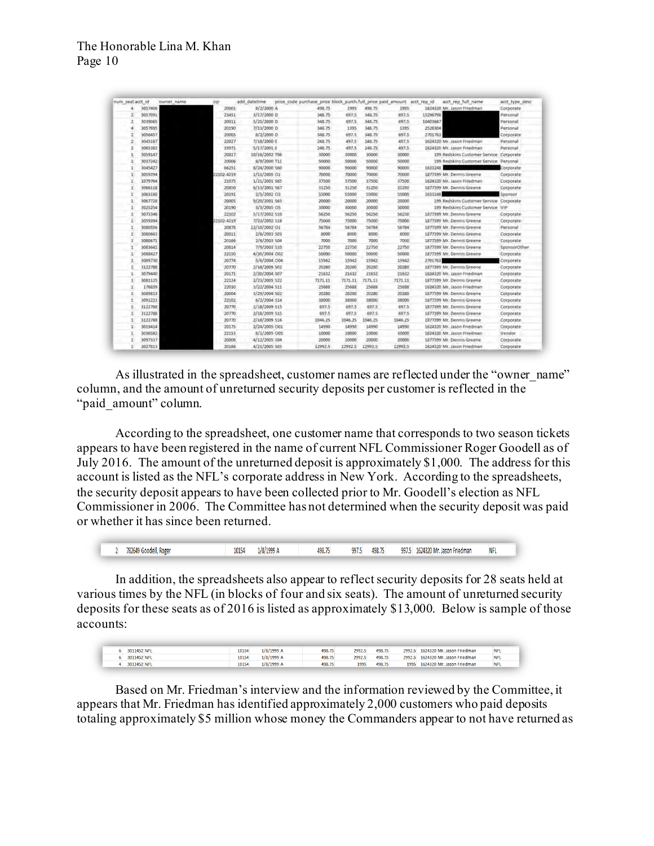| num seat acct id |         | owner name | zip        | add datetime   | price code purchase price block purchifull price paid amount acct rep id |         |         |         | acct_rep_full_name                      | acct type desc |
|------------------|---------|------------|------------|----------------|--------------------------------------------------------------------------|---------|---------|---------|-----------------------------------------|----------------|
| 4                | 3057406 |            | 20001      | $8/2/2000$ A   | 498.75                                                                   | 1995    | 498.75  | 1995    | 1624320 Mr. Jason Friedman              | Corporate      |
| $\mathfrak{p}$   | 3057091 |            | 23451      | 3/17/2000 D    | 348.75                                                                   | 697.5   | 348.75  | 697.5   | 15296798                                | Personal       |
|                  | 3039065 |            | 20011      | 5/25/2000 D    | 348.75                                                                   | 697.5   | 348.75  | 697.5   | 10403667                                | Personal       |
| M                | 3057695 |            | 20190      | 7/13/2000 D    | 348.75                                                                   | 1395    | 348.75  | 1395    | 2528304                                 | Personal       |
| a                | 3056457 |            | 20005      | $8/2/2000$ D   | 348.75                                                                   | 697.5   | 348.75  | 697.5   | 2701763                                 | Corporate      |
| 2                | 3045187 |            | 22027      | 7/18/2000 E    | 248.75                                                                   | 497.5   | 248.75  | 497.5   | 1624320 Mr. Jason Friedman              | Personal       |
| $\overline{2}$   | 3065383 |            | 19971      | 5/17/2001 E    | 248.75                                                                   | 497.5   | 248.75  | 497.5   | 1624320 Mr. Jason Friedman              | Personal       |
|                  | 3059147 |            | 20817      | 10/16/2002 T06 | 30000                                                                    | 50000   | 30000   | 30000   | 199 Redskins Customer Service Corporate |                |
| п                | 3037242 |            | 20006      | 8/9/2000 T11   | 50000                                                                    | 50000   | 50000   | 50000   | 199 Redskins Customer Service Personal  |                |
| ×.               | 3045427 |            | 66251      | 8/24/2000 S60  | 90000                                                                    | 90000   | 90000   | 90000   | 1633248                                 | Corporate      |
|                  | 3059394 |            | 22102-4219 | 1/11/2005 01   | 70000                                                                    | 70000   | 70000   | 70000   | 1877399 Mr. Dennis Greene               | Corporate      |
|                  | 1079764 |            | 21075      | 1/31/2001 S65  | 37500                                                                    | 37500   | 37500   | 37500   | 1624320 Mr. Jason Friedman              | Corporate      |
|                  | 3066118 |            | 20850      | 6/13/2001 567  | 31250                                                                    | 31250   | 31250   | 31250   | 1877399 Mr. Dennis Greene               | Corporate      |
|                  | 3063180 |            | 20191      | 2/5/2002 03    | 55000                                                                    | 55000   | 55000   | 55000   | 1633248                                 | Sponsor        |
|                  | 3067728 |            | 20005      | 9/20/2001 563  | 20000                                                                    | 20000   | 20000   | 20000   | 199 Redskins Customer Service Corporate |                |
|                  | 3025254 |            | 20190      | 8/3/2005 O5    | 30000                                                                    | 90000   | 30000   | 30000   | 199 Redskins Customer Service VIP       |                |
| п                | 3073346 |            | 22102      | 5/17/2002 S10  | 56250                                                                    | 56250   | 56250   | 56250   | 1877399 Mr. Dennis Greene               | Corporate      |
|                  | 3059394 |            | 22102-4219 | 7/23/2002 S18  | 75000                                                                    | 75000   | 75000   | 75000   | 1877399 Mr. Dennis Greene               | Corporate      |
|                  | 3080556 |            | 20878      | 12/10/2002 01  | 56784                                                                    | 56784   | 56784   | 56784   | 1877399 Mr. Dennis Greene               | Personal       |
|                  | 3080663 |            | 20011      | 2/6/2003 S03   | 8000                                                                     | 8000    | 8000    | 8000    | 1877399 Mr. Dennis Greene               | Corporate      |
|                  | 3080671 |            | 20166      | 2/6/2003 504   | 7000                                                                     | 7000    | 7000    | 7000    | 1877399 Mr. Dennis Greene               | Corporate      |
|                  | 3083642 |            | 20814      | 7/9/2003 S10   | 22750                                                                    | 22750   | 22750   | 22750   | 1877399 Mr. Dennis Greene               | SponsorOther   |
|                  | 3088427 |            | 22150      | 4/30/2004 O02  | 50000                                                                    | 50000   | 50000   | 50000   | 1877399 Mr. Dennis Greene               | Corporate      |
|                  | 3089730 |            | 20774      | 5/6/2004 004   | 15942                                                                    | 15942   | 15942   | 15942   | 2701763                                 | Corporate      |
|                  | 3122788 |            | 20770      | 2/18/2009 502  | 20280                                                                    | 20280   | 20280   | 20280   | 1877399 Mr. Dennis Greene               | Corporate      |
|                  | 3079440 |            | 20171      | 2/20/2004 S07  | 21632                                                                    | 21632   | 21632   | 21632   | 1624320 Mr. Jason Friedman              | Corporate      |
| 1                | 3081125 |            | 22124      | 2/23/2005 522  | 7171.11                                                                  | 7171.11 | 7171.11 | 7171.11 | 1877399 Mr. Dennis Greene               | Corporate      |
| $\mathbf{1}$     | 176859  |            | 22030      | 3/22/2004 S11  | 25688                                                                    | 25688   | 25688   | 25688   | 1624320 Mr. Jason Friedman              | Corporate      |
| х                | 3089813 |            | 20004      | 3/29/2004 502  | 20280                                                                    | 20280   | 20280   | 20280   | 1877399 Mr. Dennis Greene               | Corporate      |
|                  | 3091223 |            | 22102      | 6/2/2004 S14   | 38000                                                                    | 38000   | 38000   | 38000   | 1877399 Mr. Dennis Greene               | Corporate      |
|                  | 3122788 |            | 20770      | 2/18/2009 515  | 697.5                                                                    | 697.5   | 697.5   | 697.5   | 1877399 Mr. Dennis Greene               | Corporate      |
|                  | 3122788 |            | 20770      | 2/18/2009 \$15 | 697.5                                                                    | 697.5   | 697.5   | 697.5   | 1877399 Mr. Dennis Greene               | Corporate      |
|                  | 3122788 |            | 20770      | 2/18/2009 516  | 1046.25                                                                  | 1046.25 | 1046.25 | 1046.25 | 1877399 Mr. Dennis Greene               | Corporate      |
| п                | 3019414 |            | 20175      | 2/24/2005 001  | 14990                                                                    | 14990   | 14990   | 14990   | 1624320 Mr. Jason Friedman              | Corporate      |
|                  | 3036582 |            | 22153      | 8/1/2005 005   | 10000                                                                    | 10000   | 10000   | 10000   | 1624320 Mr. Jason Friedman              | Vendor         |
| 1                | 3097337 |            | 20006      | 4/12/2005 S04  | 20000                                                                    | 20000   | 20000   | 20000   | 1877399 Mr. Dennis Greene               | Corporate      |
| ×                | 3027813 |            | 20166      | 4/21/2005 S05  | 12992.5                                                                  | 12992.5 | 12992.5 | 12992.5 | 1624320 Mr. Jason Friedman              | Corporate      |

As illustrated in the spreadsheet, customer names are reflected under the "owner name" column, and the amount of unreturned security deposits per customer is reflected in the "paid amount" column.

According to the spreadsheet, one customer name that corresponds to two season tickets appears to have been registered in the name of current NFL Commissioner Roger Goodell as of July 2016. The amount of the unreturned deposit is approximately \$1,000. The address for this account is listed as the NFL's corporate address in New York. According to the spreadsheets, the security deposit appears to have been collected prior to Mr. Goodell's election as NFL Commissioner in 2006. The Committee has not determined when the security deposit was paid or whether it has since been returned.

2 782649 Goodell, Roger 10154 1/8/1999 A 498.75 997.5 498.75 997.5 1624320 Mr. Jason Friedman **NFI** 

In addition, the spreadsheets also appear to reflect security deposits for 28 seats held at various times by the NFL (in blocks of four and six seats). The amount of unreturned security deposits for these seats as of 2016 is listed as approximately \$13,000. Below is sample of those accounts:

| 3011452 NFI | 10154 | 1/8/1999 A   | 498.75 | 2992.5 | 498.75 | 2992.5 | 1624320 Mr. Jason Friedman | <b>NFL</b> |
|-------------|-------|--------------|--------|--------|--------|--------|----------------------------|------------|
| 3011452 NFL | 10154 | $1/8/1999$ A | 498.75 | 2992.5 | 498.75 | 2992.5 | 1624320 Mr. Jason Friedman | <b>NFI</b> |
| 3011452 NFL | 10154 | 1/8/1999 A   | 498.75 | 1995   | 498.75 | 1995   | 1624320 Mr. Jason Friedman | <b>NFL</b> |

Based on Mr. Friedman's interview and the information reviewed by the Committee, it appears that Mr. Friedman has identified approximately 2,000 customers who paid deposits totaling approximately \$5 million whose money the Commanders appear to not have returned as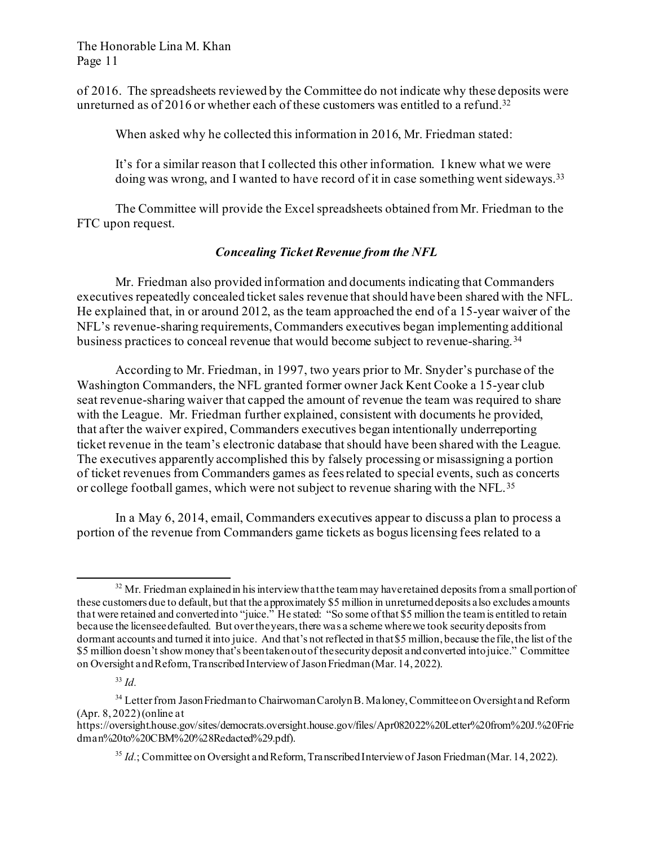of 2016. The spreadsheets reviewed by the Committee do not indicate why these deposits were unreturned as of 2016 or whether each of these customers was entitled to a refund.<sup>32</sup>

When asked why he collected this information in 2016, Mr. Friedman stated:

It's for a similar reason that I collected this other information. I knew what we were doing was wrong, and I wanted to have record of it in case something went sideways.[33](#page-10-1) 

The Committee will provide the Excel spreadsheets obtained from Mr. Friedman to the FTC upon request.

# *Concealing Ticket Revenue from the NFL*

Mr. Friedman also provided information and documents indicating that Commanders executives repeatedly concealed ticket sales revenue that should have been shared with the NFL. He explained that, in or around 2012, as the team approached the end of a 15-year waiver of the NFL's revenue-sharing requirements, Commanders executives began implementing additional business practices to conceal revenue that would become subject to revenue-sharing. [34](#page-10-2)

According to Mr. Friedman, in 1997, two years prior to Mr. Snyder's purchase of the Washington Commanders, the NFL granted former owner Jack Kent Cooke a 15-year club seat revenue-sharing waiver that capped the amount of revenue the team was required to share with the League. Mr. Friedman further explained, consistent with documents he provided, that after the waiver expired, Commanders executives began intentionally underreporting ticket revenue in the team's electronic database that should have been shared with the League. The executives apparently accomplished this by falsely processing or misassigning a portion of ticket revenues from Commanders games as fees related to special events, such as concerts or college football games, which were not subject to revenue sharing with the NFL.[35](#page-10-3)

In a May 6, 2014, email, Commanders executives appear to discuss a plan to process a portion of the revenue from Commanders game tickets as bogus licensing fees related to a

<span id="page-10-0"></span> $32$  Mr. Friedman explained in his interview that the team may have retained deposits from a small portion of these customers due to default, but that the approximately \$5 million in unreturned deposits also excludes amounts that were retained and converted into "juice." He stated: "So some of that \$5 million the team is entitled to retain because the licensee defaulted. But over the years, there was a scheme where we took security deposits from dormant accounts and turned it into juice. And that's not reflected in that \$5 million, because the file, the list of the \$5 million doesn't show money that's been taken out of the security deposit and converted into juice." Committee on Oversight and Reform, Transcribed Interview of Jason Friedman (Mar. 14, 2022).

<span id="page-10-2"></span><span id="page-10-1"></span><sup>&</sup>lt;sup>34</sup> Letter from Jason Friedman to Chairwoman Carolyn B. Maloney, Committee on Oversight and Reform (Apr. 8, 2022)(online at

<span id="page-10-3"></span>https://oversight.house.gov/sites/democrats.oversight.house.gov/files/Apr082022%20Letter%20from%20J.%20Frie dman%20to%20CBM%20%28Redacted%29.pdf).

<sup>&</sup>lt;sup>35</sup> *Id.*; Committee on Oversight and Reform, Transcribed Interview of Jason Friedman (Mar. 14, 2022).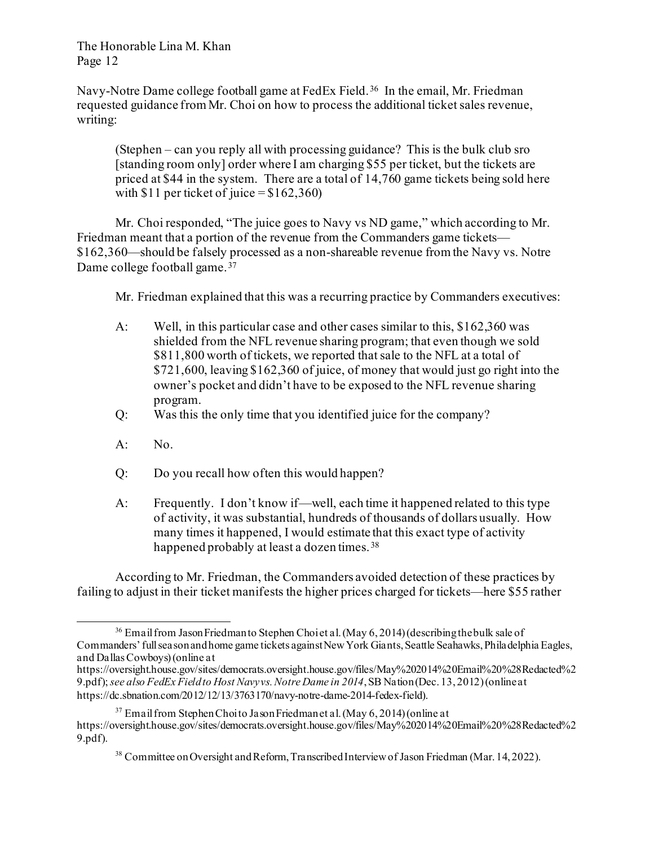Navy-Notre Dame college football game at FedEx Field.<sup>[36](#page-11-0)</sup> In the email, Mr. Friedman requested guidance from Mr. Choi on how to process the additional ticket sales revenue, writing:

(Stephen – can you reply all with processing guidance? This is the bulk club sro [standing room only] order where I am charging \$55 per ticket, but the tickets are priced at \$44 in the system. There are a total of 14,760 game tickets being sold here with  $$11$  per ticket of juice =  $$162,360$ )

Mr. Choi responded, "The juice goes to Navy vs ND game," which according to Mr. Friedman meant that a portion of the revenue from the Commanders game tickets— \$162,360—should be falsely processed as a non-shareable revenue from the Navy vs. Notre Dame college football game.[37](#page-11-1) 

Mr. Friedman explained that this was a recurring practice by Commanders executives:

- A: Well, in this particular case and other cases similar to this, \$162,360 was shielded from the NFL revenue sharing program; that even though we sold \$811,800 worth of tickets, we reported that sale to the NFL at a total of \$721,600, leaving \$162,360 of juice, of money that would just go right into the owner's pocket and didn't have to be exposed to the NFL revenue sharing program.
- Q: Was this the only time that you identified juice for the company?
- A: No.
- Q: Do you recall how often this would happen?
- A: Frequently. I don't know if—well, each time it happened related to this type of activity, it was substantial, hundreds of thousands of dollars usually. How many times it happened, I would estimate that this exact type of activity happened probably at least a dozen times. [38](#page-11-2)

According to Mr. Friedman, the Commanders avoided detection of these practices by failing to adjust in their ticket manifests the higher prices charged for tickets—here \$55 rather

<span id="page-11-0"></span><sup>&</sup>lt;sup>36</sup> Email from Jason Friedman to Stephen Choi et al. (May 6, 2014) (describing the bulk sale of Commanders' full season and home game tickets against New York Giants, Seattle Seahawks, Philadelphia Eagles, and Dallas Cowboys) (online at

https://oversight.house.gov/sites/democrats.oversight.house.gov/files/May%202014%20Email%20%28Redacted%2 9.pdf); *see also FedEx Field to Host Navy vs. Notre Dame in 2014*, SB Nation (Dec. 13, 2012) (onlineat https://dc.sbnation.com/2012/12/13/3763170/navy-notre-dame-2014-fedex-field).

<span id="page-11-2"></span><span id="page-11-1"></span> $37$  Email from Stephen Choi to Jason Friedman et al. (May 6, 2014) (online at https://oversight.house.gov/sites/democrats.oversight.house.gov/files/May%202014%20Email%20%28Redacted%2 9.pdf).

<sup>38</sup> Committee on Oversight and Reform, Transcribed Interview of Jason Friedman (Mar. 14, 2022).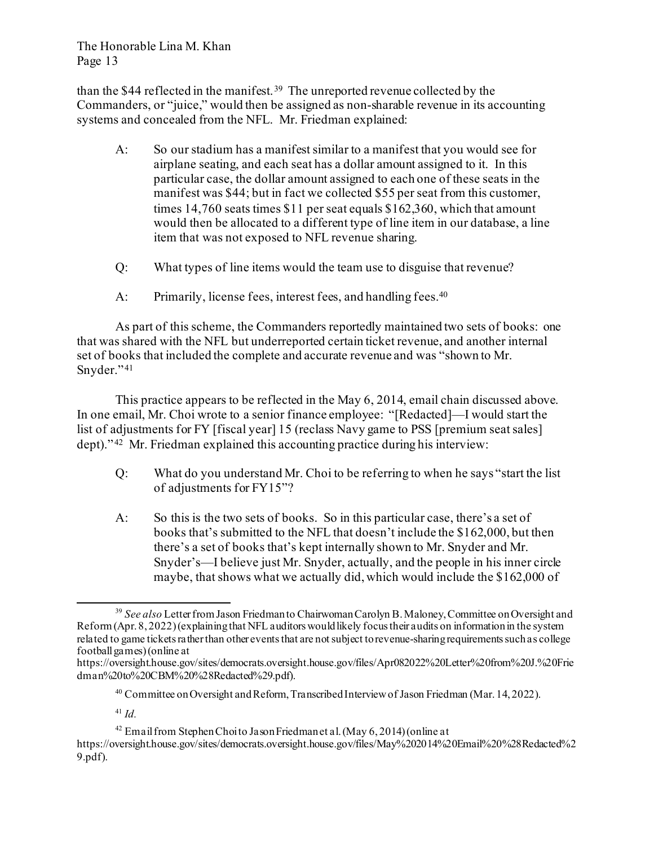than the \$44 reflected in the manifest.<sup>39</sup> The unreported revenue collected by the Commanders, or "juice," would then be assigned as non-sharable revenue in its accounting systems and concealed from the NFL. Mr. Friedman explained:

- A: So our stadium has a manifest similar to a manifest that you would see for airplane seating, and each seat has a dollar amount assigned to it. In this particular case, the dollar amount assigned to each one of these seats in the manifest was \$44; but in fact we collected \$55 per seat from this customer, times 14,760 seats times \$11 per seat equals \$162,360, which that amount would then be allocated to a different type of line item in our database, a line item that was not exposed to NFL revenue sharing.
- Q: What types of line items would the team use to disguise that revenue?
- A: Primarily, license fees, interest fees, and handling fees.<sup>40</sup>

As part of this scheme, the Commanders reportedly maintained two sets of books: one that was shared with the NFL but underreported certain ticket revenue, and another internal set of books that included the complete and accurate revenue and was "shown to Mr. Snyder."41

This practice appears to be reflected in the May 6, 2014, email chain discussed above. In one email, Mr. Choi wrote to a senior finance employee: "[Redacted]—I would start the list of adjustments for FY [fiscal year] 15 (reclass Navy game to PSS [premium seat sales] dept)."<sup>[42](#page-12-3)</sup> Mr. Friedman explained this accounting practice during his interview:

- Q: What do you understand Mr. Choi to be referring to when he says "start the list of adjustments for FY15"?
- A: So this is the two sets of books. So in this particular case, there's a set of books that's submitted to the NFL that doesn't include the \$162,000, but then there's a set of books that's kept internally shown to Mr. Snyder and Mr. Snyder's—I believe just Mr. Snyder, actually, and the people in his inner circle maybe, that shows what we actually did, which would include the \$162,000 of

<sup>41</sup> *Id.*

<span id="page-12-3"></span><span id="page-12-2"></span><sup>42</sup> Email from Stephen Choi to Jason Friedman et al. (May  $6, 2014$ ) (online at https://oversight.house.gov/sites/democrats.oversight.house.gov/files/May%202014%20Email%20%28Redacted%2 9.pdf).

<span id="page-12-0"></span><sup>39</sup> *See also* Letter from Jason Friedman to Chairwoman Carolyn B. Maloney, Committee on Oversight and Reform (Apr. 8, 2022) (explaining that NFL auditors would likely focus their audits on information in the system related to game tickets rather than other events that are not subject to revenue-sharing requirements such as college football games)(online at

<span id="page-12-1"></span>https://oversight.house.gov/sites/democrats.oversight.house.gov/files/Apr082022%20Letter%20from%20J.%20Frie dman%20to%20CBM%20%28Redacted%29.pdf).

<sup>&</sup>lt;sup>40</sup> Committee on Oversight and Reform, Transcribed Interview of Jason Friedman (Mar. 14, 2022).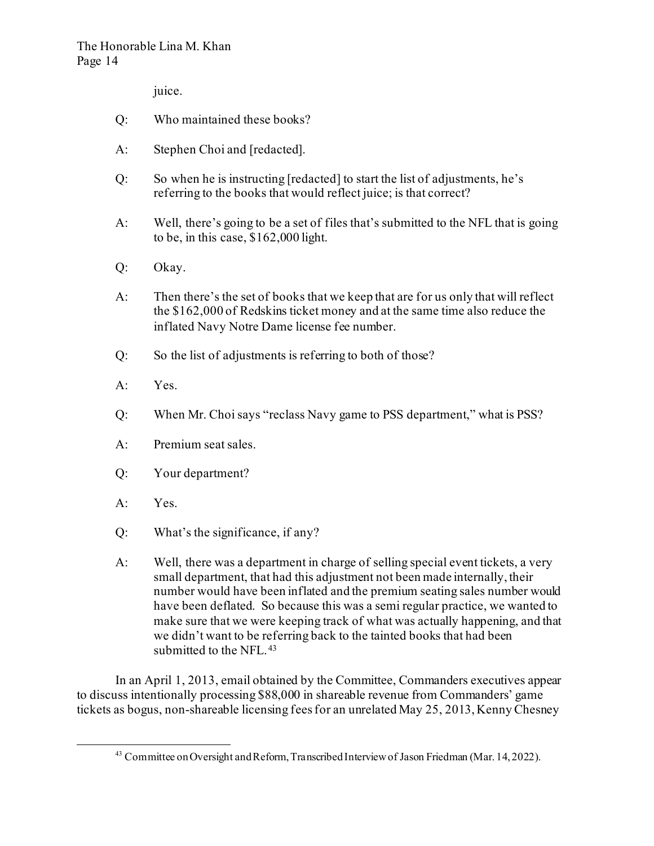juice.

- Q: Who maintained these books?
- A: Stephen Choi and [redacted].
- Q: So when he is instructing [redacted] to start the list of adjustments, he's referring to the books that would reflect juice; is that correct?
- A: Well, there's going to be a set of files that's submitted to the NFL that is going to be, in this case, \$162,000 light.
- Q: Okay.
- A: Then there's the set of books that we keep that are for us only that will reflect the \$162,000 of Redskins ticket money and at the same time also reduce the inflated Navy Notre Dame license fee number.
- Q: So the list of adjustments is referring to both of those?
- A: Yes.
- Q: When Mr. Choi says "reclass Navy game to PSS department," what is PSS?
- A: Premium seat sales.
- Q: Your department?
- A: Yes.
- Q: What's the significance, if any?
- A: Well, there was a department in charge of selling special event tickets, a very small department, that had this adjustment not been made internally, their number would have been inflated and the premium seating sales number would have been deflated. So because this was a semi regular practice, we wanted to make sure that we were keeping track of what was actually happening, and that we didn't want to be referring back to the tainted books that had been submitted to the NFL.<sup>[43](#page-13-0)</sup>

<span id="page-13-0"></span>In an April 1, 2013, email obtained by the Committee, Commanders executives appear to discuss intentionally processing \$88,000 in shareable revenue from Commanders' game tickets as bogus, non-shareable licensing fees for an unrelated May 25, 2013, Kenny Chesney

<sup>43</sup> Committee on Oversight and Reform, Transcribed Interview of Jason Friedman (Mar. 14, 2022).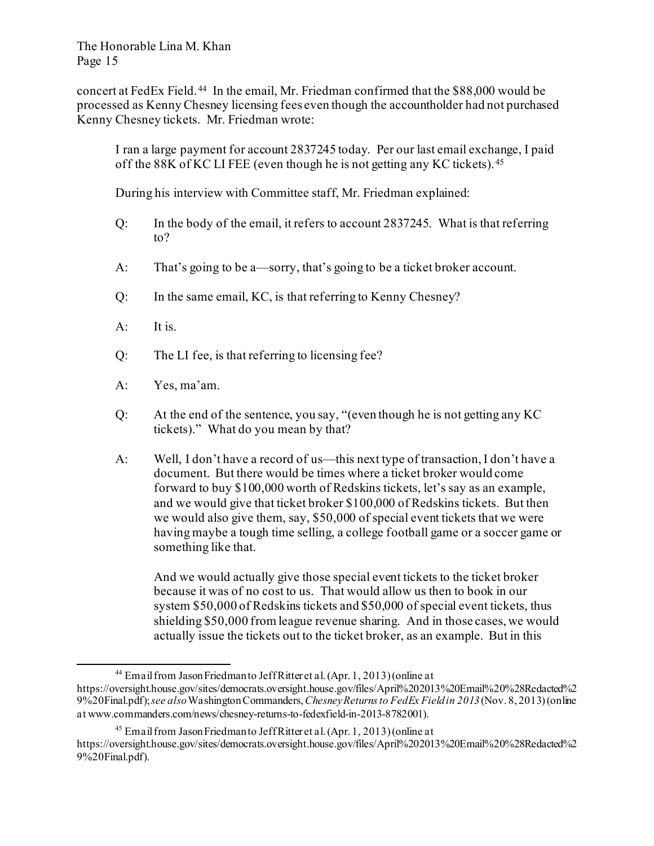concert at FedEx Field. [44](#page-14-0) In the email, Mr. Friedman confirmed that the \$88,000 would be processed as Kenny Chesney licensing fees even though the accountholder had not purchased Kenny Chesney tickets. Mr. Friedman wrote:

I ran a large payment for account 2837245 today. Per our last email exchange, I paid off the 88K of KC LI FEE (even though he is not getting any KC tickets). [45](#page-14-1)

During his interview with Committee staff, Mr. Friedman explained:

- Q: In the body of the email, it refers to account 2837245. What is that referring to?
- A: That's going to be a—sorry, that's going to be a ticket broker account.
- Q: In the same email, KC, is that referring to Kenny Chesney?
- A: It is.
- Q: The LI fee, is that referring to licensing fee?
- A: Yes, ma'am.
- Q: At the end of the sentence, you say, "(even though he is not getting any KC tickets)." What do you mean by that?
- A: Well, I don't have a record of us—this next type of transaction, I don't have a document. But there would be times where a ticket broker would come forward to buy \$100,000 worth of Redskins tickets, let's say as an example, and we would give that ticket broker \$100,000 of Redskins tickets. But then we would also give them, say, \$50,000 of special event tickets that we were having maybe a tough time selling, a college football game or a soccer game or something like that.

And we would actually give those special event tickets to the ticket broker because it was of no cost to us. That would allow us then to book in our system \$50,000 of Redskins tickets and \$50,000 of special event tickets, thus shielding \$50,000 from league revenue sharing. And in those cases, we would actually issue the tickets out to the ticket broker, as an example. But in this

<sup>44</sup> Email from Jason Friedman to Jeff Ritter et al.(Apr. 1, 2013) (online at

<span id="page-14-0"></span>https://oversight.house.gov/sites/democrats.oversight.house.gov/files/April%202013%20Email%20%28Redacted%2 9%20Final.pdf); *see also*Washington Commanders, *Chesney Returns to FedEx Field in 2013*(Nov. 8, 2013) (online at www.commanders.com/news/chesney-returns-to-fedexfield-in-2013-8782001).

<span id="page-14-1"></span><sup>45</sup> Email from Jason Friedman to Jeff Ritter et al.(Apr. 1, 2013) (online at https://oversight.house.gov/sites/democrats.oversight.house.gov/files/April%202013%20Email%20%28Redacted%2 9%20Final.pdf).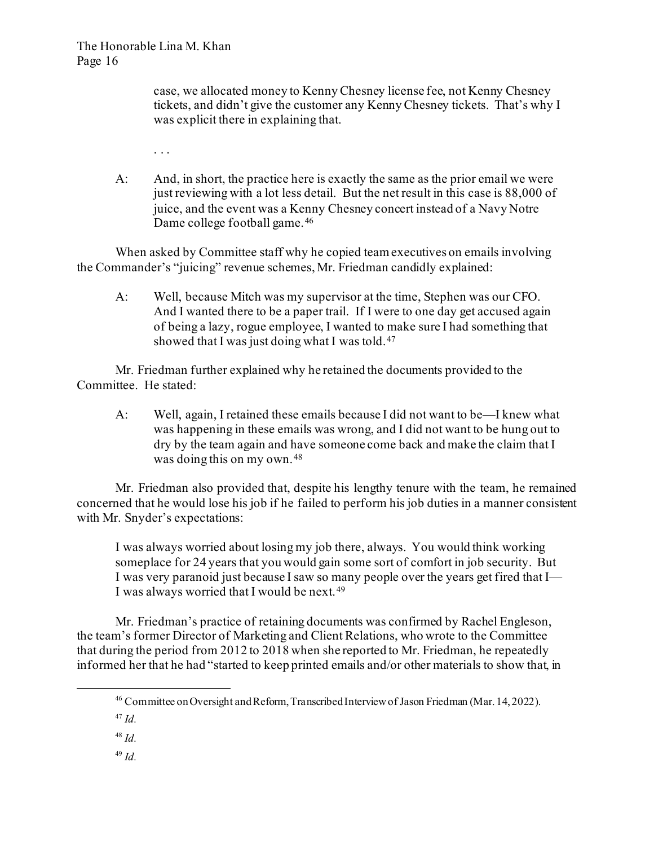case, we allocated money to Kenny Chesney license fee, not Kenny Chesney tickets, and didn't give the customer any Kenny Chesney tickets. That's why I was explicit there in explaining that.

- . . .
- A: And, in short, the practice here is exactly the same as the prior email we were just reviewing with a lot less detail. But the net result in this case is 88,000 of juice, and the event was a Kenny Chesney concert instead of a Navy Notre Dame college football game.[46](#page-15-0)

When asked by Committee staff why he copied team executives on emails involving the Commander's "juicing" revenue schemes, Mr. Friedman candidly explained:

A: Well, because Mitch was my supervisor at the time, Stephen was our CFO. And I wanted there to be a paper trail. If I were to one day get accused again of being a lazy, rogue employee, I wanted to make sure I had something that showed that I was just doing what I was told.<sup>[47](#page-15-1)</sup>

Mr. Friedman further explained why he retained the documents provided to the Committee. He stated:

A: Well, again, I retained these emails because I did not want to be—I knew what was happening in these emails was wrong, and I did not want to be hung out to dry by the team again and have someone come back and make the claim that I was doing this on my own. [48](#page-15-2)

Mr. Friedman also provided that, despite his lengthy tenure with the team, he remained concerned that he would lose his job if he failed to perform his job duties in a manner consistent with Mr. Snyder's expectations:

I was always worried about losing my job there, always. You would think working someplace for 24 years that you would gain some sort of comfort in job security. But I was very paranoid just because I saw so many people over the years get fired that I— I was always worried that I would be next. [49](#page-15-3)

<span id="page-15-0"></span>Mr. Friedman's practice of retaining documents was confirmed by Rachel Engleson, the team's former Director of Marketing and Client Relations, who wrote to the Committee that during the period from 2012 to 2018 when she reported to Mr. Friedman, he repeatedly informed her that he had "started to keep printed emails and/or other materials to show that, in

<span id="page-15-3"></span><span id="page-15-2"></span><span id="page-15-1"></span><sup>48</sup> *Id.*

<sup>46</sup> Committee on Oversight and Reform, Transcribed Interview of Jason Friedman (Mar. 14, 2022).

<sup>47</sup> *Id.*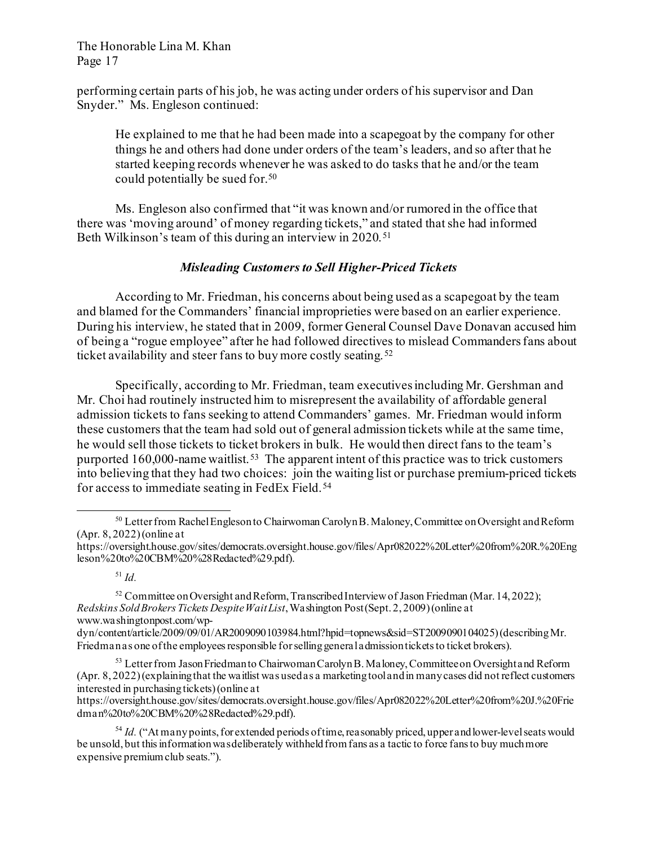performing certain parts of his job, he was acting under orders of his supervisor and Dan Snyder." Ms. Engleson continued:

He explained to me that he had been made into a scapegoat by the company for other things he and others had done under orders of the team's leaders, and so after that he started keeping records whenever he was asked to do tasks that he and/or the team could potentially be sued for.[50](#page-16-0)

Ms. Engleson also confirmed that "it was known and/or rumored in the office that there was 'moving around' of money regarding tickets," and stated that she had informed Beth Wilkinson's team of this during an interview in 2020.<sup>[51](#page-16-1)</sup>

# *Misleading Customers to Sell Higher-Priced Tickets*

According to Mr. Friedman, his concerns about being used as a scapegoat by the team and blamed for the Commanders' financial improprieties were based on an earlier experience. During his interview, he stated that in 2009, former General Counsel Dave Donavan accused him of being a "rogue employee" after he had followed directives to mislead Commanders fans about ticket availability and steer fans to buy more costly seating. [52](#page-16-2)

Specifically, according to Mr. Friedman, team executivesincluding Mr. Gershman and Mr. Choi had routinely instructed him to misrepresent the availability of affordable general admission tickets to fans seeking to attend Commanders' games. Mr. Friedman would inform these customers that the team had sold out of general admission tickets while at the same time, he would sell those tickets to ticket brokers in bulk. He would then direct fans to the team's purported  $160,000$ -name waitlist.<sup>[53](#page-16-3)</sup> The apparent intent of this practice was to trick customers into believing that they had two choices: join the waiting list or purchase premium-priced tickets for access to immediate seating in FedEx Field.<sup>[54](#page-16-4)</sup>

<span id="page-16-4"></span><sup>54</sup> *Id.* ("At many points, for extended periods of time, reasonably priced, upper and lower-level seats would be unsold, but this information was deliberately withheld from fans as a tactic to force fans to buy much more expensive premium club seats.").

<span id="page-16-0"></span><sup>&</sup>lt;sup>50</sup> Letter from Rachel Engleson to Chairwoman Carolyn B. Maloney, Committee on Oversight and Reform (Apr. 8, 2022)(online at

https://oversight.house.gov/sites/democrats.oversight.house.gov/files/Apr082022%20Letter%20from%20R.%20Eng leson%20to%20CBM%20%28Redacted%29.pdf).

<sup>51</sup> *Id.*

<span id="page-16-2"></span><span id="page-16-1"></span> $52$  Committee on Oversight and Reform, Transcribed Interview of Jason Friedman (Mar. 14, 2022); *Redskins Sold Brokers Tickets Despite Wait List*, Washington Post (Sept. 2, 2009) (online at www.washingtonpost.com/wp-

dyn/content/article/2009/09/01/AR2009090103984.html?hpid=topnews&sid=ST2009090104025) (describingMr. Friedman as one of the employees responsible for selling general admission tickets to ticket brokers).

<span id="page-16-3"></span><sup>&</sup>lt;sup>53</sup> Letter from Jason Friedman to Chairwoman Carolyn B. Maloney, Committee on Oversight and Reform (Apr. 8, 2022) (explaining that the waitlist was used as a marketing tool and in many cases did not reflect customers interested in purchasing tickets)(online at

https://oversight.house.gov/sites/democrats.oversight.house.gov/files/Apr082022%20Letter%20from%20J.%20Frie dman%20to%20CBM%20%28Redacted%29.pdf).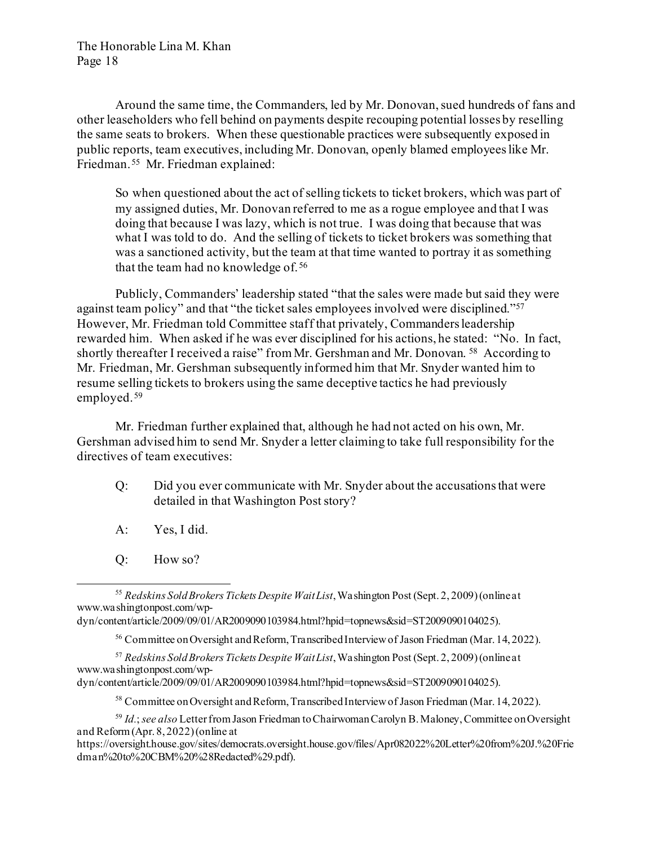Around the same time, the Commanders, led by Mr. Donovan, sued hundreds of fans and other leaseholders who fell behind on payments despite recouping potential losses by reselling the same seats to brokers. When these questionable practices were subsequently exposed in public reports, team executives, including Mr. Donovan, openly blamed employees like Mr. Friedman.[55](#page-17-0) Mr. Friedman explained:

So when questioned about the act of selling tickets to ticket brokers, which was part of my assigned duties, Mr. Donovan referred to me as a rogue employee and that I was doing that because I was lazy, which is not true. I was doing that because that was what I was told to do. And the selling of tickets to ticket brokers was something that was a sanctioned activity, but the team at that time wanted to portray it as something that the team had no knowledge of. [56](#page-17-1)

Publicly, Commanders' leadership stated "that the sales were made but said they were against team policy" and that "the ticket sales employees involved were disciplined."<sup>[57](#page-17-2)</sup> However, Mr. Friedman told Committee staff that privately, Commanders leadership rewarded him. When asked if he was ever disciplined for his actions, he stated: "No. In fact, shortly thereafter I received a raise" from Mr. Gershman and Mr. Donovan. <sup>[58](#page-17-3)</sup> According to Mr. Friedman, Mr. Gershman subsequently informed him that Mr. Snyder wanted him to resume selling tickets to brokers using the same deceptive tactics he had previously employed. [59](#page-17-4) 

Mr. Friedman further explained that, although he had not acted on his own, Mr. Gershman advised him to send Mr. Snyder a letter claiming to take full responsibility for the directives of team executives:

- Q: Did you ever communicate with Mr. Snyder about the accusations that were detailed in that Washington Post story?
- A: Yes, I did.
- Q: How so?

<span id="page-17-0"></span><sup>55</sup> *Redskins Sold Brokers Tickets Despite Wait List*, Washington Post (Sept. 2, 2009) (online at www.washingtonpost.com/wp-

dyn/content/article/2009/09/01/AR2009090103984.html?hpid=topnews&sid=ST2009090104025).

<sup>56</sup> Committee on Oversight and Reform, Transcribed Interview of Jason Friedman (Mar. 14, 2022).

<span id="page-17-2"></span><span id="page-17-1"></span><sup>57</sup> *Redskins Sold Brokers Tickets Despite Wait List*, Washington Post (Sept. 2, 2009) (online at www.washingtonpost.com/wp-

dyn/content/article/2009/09/01/AR2009090103984.html?hpid=topnews&sid=ST2009090104025).

<sup>58</sup> Committee on Oversight and Reform, Transcribed Interview of Jason Friedman (Mar. 14, 2022).

<span id="page-17-4"></span><span id="page-17-3"></span><sup>59</sup> *Id.*; *see also* Letter from Jason Friedman to Chairwoman Carolyn B. Maloney, Committee on Oversight and Reform(Apr. 8, 2022) (online at

https://oversight.house.gov/sites/democrats.oversight.house.gov/files/Apr082022%20Letter%20from%20J.%20Frie dman%20to%20CBM%20%28Redacted%29.pdf).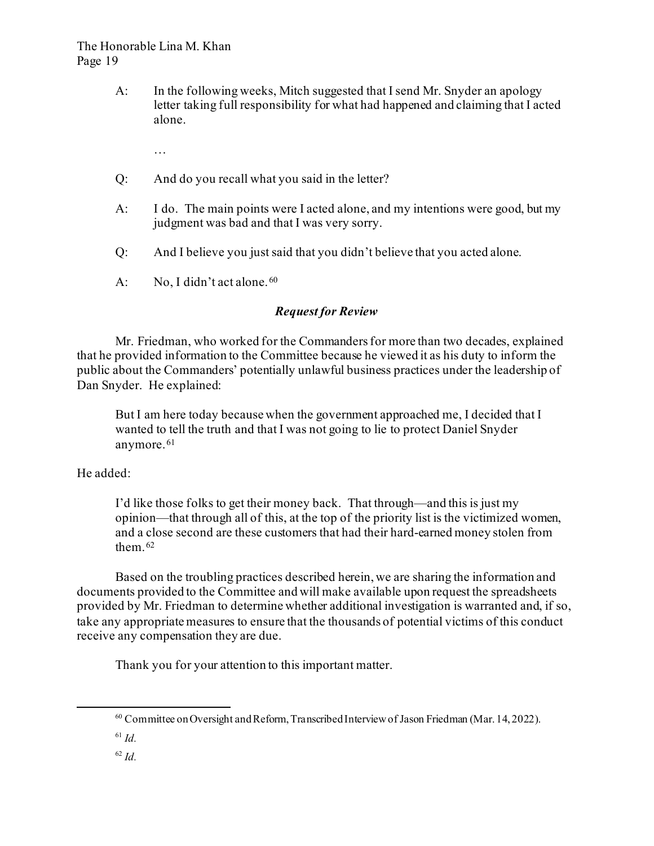A: In the following weeks, Mitch suggested that I send Mr. Snyder an apology letter taking full responsibility for what had happened and claiming that I acted alone.

…

- Q: And do you recall what you said in the letter?
- A: I do. The main points were I acted alone, and my intentions were good, but my judgment was bad and that I was very sorry.
- Q: And I believe you just said that you didn't believe that you acted alone.
- A: No, I didn't act alone. [60](#page-18-0)

# *Request for Review*

Mr. Friedman, who worked for the Commanders for more than two decades, explained that he provided information to the Committee because he viewed it as his duty to inform the public about the Commanders' potentially unlawful business practices under the leadership of Dan Snyder. He explained:

But I am here today because when the government approached me, I decided that I wanted to tell the truth and that I was not going to lie to protect Daniel Snyder anymore. [61](#page-18-1)

He added:

I'd like those folks to get their money back. That through—and this is just my opinion—that through all of this, at the top of the priority list is the victimized women, and a close second are these customers that had their hard-earned money stolen from them.<sup>[62](#page-18-2)</sup>

Based on the troubling practices described herein, we are sharing the information and documents provided to the Committee and will make available upon request the spreadsheets provided by Mr. Friedman to determine whether additional investigation is warranted and, if so, take any appropriate measures to ensure that the thousands of potential victims of this conduct receive any compensation they are due.

Thank you for your attention to this important matter.

<span id="page-18-2"></span><span id="page-18-1"></span><sup>61</sup> *Id.*

<span id="page-18-0"></span> $^{60}$  Committee on Oversight and Reform, Transcribed Interview of Jason Friedman (Mar. 14, 2022).